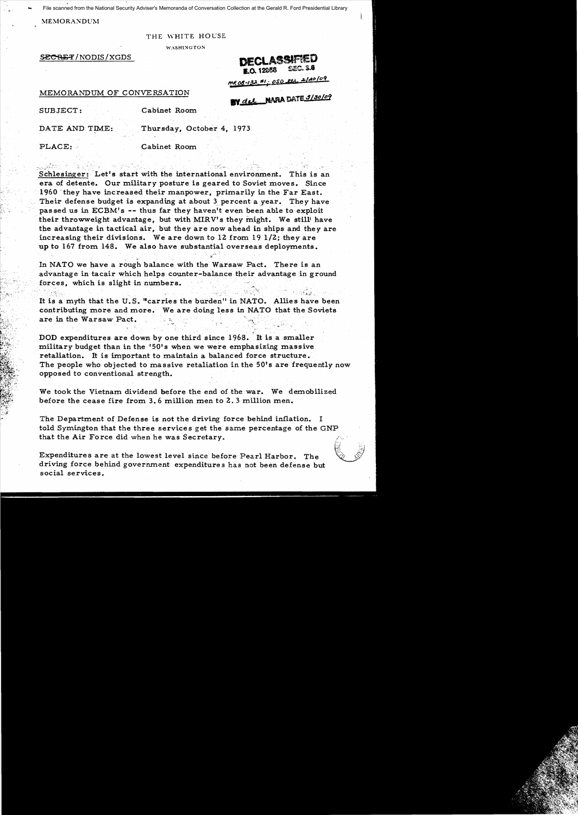File scanned from the National Security Adviser's Memoranda of Conversation Collection at the Gerald R. Ford Presidential Library

## MEMORANDUM

...

### THE WHITE HOUSE

**WASHINGTON** 

~/NODIS/XGDS **DECLASSIAED Lo.** 12058 S~C. S.8

mR 08-132 E1: 0SD <u>ets</u> 2/20109

## MEMORANDUM OF CONVERSATION

• >

# **BY del NARA DATE 9/30/09**

SUBJECT: Cabinet Room

DATE AND TIME: Thursday, October 4, 1973

## PLACE: Cabinet Room

Schlesinger: Let's start with the international environment. This is an era of detente. Our military posture is geared to Soviet moves. Since 1960 'they have increased their manpower, primarily in the Far East. Their defense budget is expanding at about 3. percent a year. They have pas sed us in ECBM's -- thus far they haven't even been able to exploit their throwweight advantage, but with MIRV's they might. We still' have the advantage in tactical air, but they are now ahead in ships and they are increasing their divisions. We are down to 12 from 19 1/2; they are up to 167 from 148. We also have substantial overseas deployments • . ~.

In NATO we have a rough balance with the Warsaw Pact. There is an advantage in tacair which helps counter-balance their advantage in ground forces, which is slight in numbers.

. It is a myth that the U.S. "carries the burden" in NATO. Allies have been contributing more and more. We are doing less in NATO that the Soviets are in the Warsaw Pact.

DOD expenditures are down by one third since 1968. 'It is a smaller military budget than in the '50's when we were emphasizing massive retaliation. It is important to maintain a balanced force structure. The people who objected to massive retaliation in the 50's are frequently now opposed to conventional strength.

We took the Vietnam dividend before the end of the war. We demobilized before the cease fire from 3.6 million men to 2.3 million men.

The Department of Defense is not the driving force behind inflation. I told Symington that the three service s get the same percentage of the GNP that the Air Force did when he was Secretary.

Expenditures are at the lowest level since before Pearl Harbor. The driving force behind government expenditures has not been defense but social services.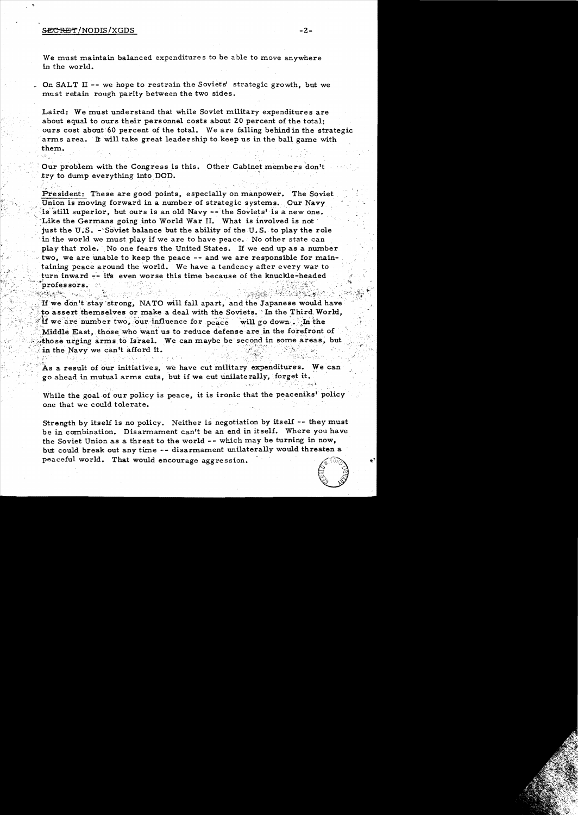## $\texttt{SECREF}/\text{NODIS}/\text{XGDS}$   $-2$  -

We must maintain balanced expenditures to be able to move anywhere in the world.

\_ On SALT II -- we hope to restrain the Soviets' strategic growth, but we must retain rough parity between the two sides.

Laird: We must understand that while Soviet military expenditures are about equal to ours their personnel costs about 20 percent of the total; ours cost about'60 percent of the total. We are falling behind in the strategic arms area. It will take great leadership to keep us in the ball game with them.

, Our problem with the Congress is this. Other Cabinet members don't .try to dump everything into DOD.

President: These are good points, especially on manpower. The Soviet Union is moving forward in a number of strategic systems. Our Navy is still superior, but ours is an old Navy -- the Soviets' is a new one. Like the Germans going into World War II. What is involved is not just the U.S.  $-$  Soviet balance but the ability of the U.S. to play the role in the world we must play if we are to have peace. No other state can play that role. No one fears the United States. If we end up as a number two, we are unable to keep the peace -- and we are responsible for maintaining peace around the world. We have a tendency after every war to turn inward-:- it's even worse this time because of the knuckle-headed ~,~ . ,. . ~. .i.~ "". ~ • .:~ . ' ." ,.~ '\_ . • ~;~~~ir~~\<~~;~":~' '. ,~ .  $\lceil \mathop{\mathrm{proles}}\nolimits \mathop{\mathrm{sors}}\nolimits.$ 

If we don't stay strong, NATO will fall apart, and the Japanese would have to assert themselves or make a deal with the Soviets. In the Third World, If we are number two, our influence for  $_{\text{peace}}$  will go down.  $\cdot$  in the  $\cdot$  . Middle East, those who want us to reduce defense are in the forefront of those urging arms to Israel. We can maybe be second in some areas, but in the Navy we can't afford it. I we don't stay strong, NATO will fail apart, and the Saption assert themselves or make a deal with the Soviets. In<br>if we are number two, our influence for peace will go de<br>Middle East, those who want us to reduce defense

As a result of our initiatives, we have cut military expenditures. We can go ahead in mutual arms cuts, but if we cut unilaterally, forget it.

While the goal of our policy is peace, it is ironic that the peaceniks' policy one that we could tolerate.

Strength *by* itself is no policy. Neither is negotiation by itself -- they must be in combination. Disarmament can't be an end in itself. Where you have the Soviet Union as a threat to the world -- which may be turning in now, but could break out any time -- disarmament unilaterally would threaten a peaceful world. That would encourage aggression. .



..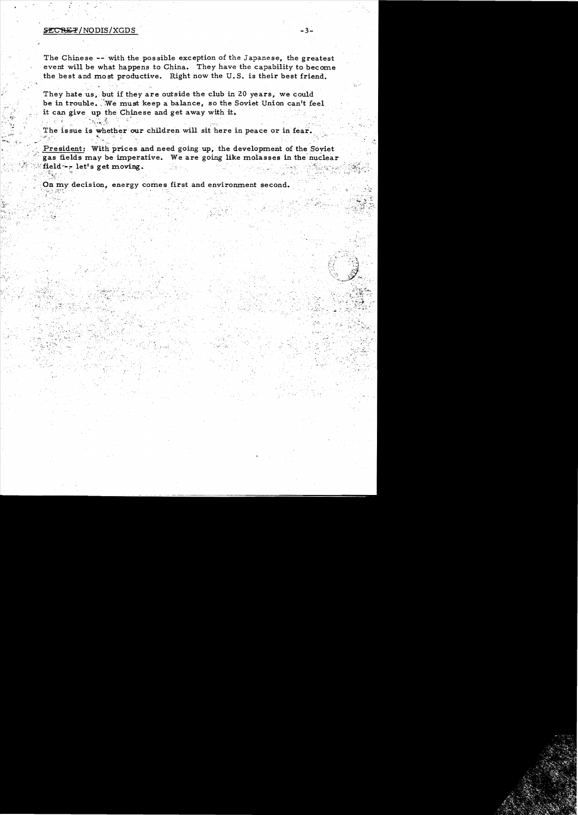## ${SECREF/NODIS/XGDS}$   $-3$

;'.'>.~i·'~.. ' ~~

The Chinese -- with the possible exception of the Japanese, the greatest event will be what happens to China. They have the capability to become the best and most productive. Right now the U.S. is their best friend.

They hate us, but if they are outside the club in 20 years, we could be in trouble. We must keep a balance, so the Soviet Union can't feel it can give up the Chinese and get away with it.

The issue is whether our children will sit here in peace or in fear.

President: With prices and need going up, the development of the Soviet gas fields may be imperative. We are going like molasses in the nuclear field  $\sim$ . let's get moving.  $\sim$ 

......

 $\mathcal{L}$ 

On my decision, energy comes first and environment second.  $\mathcal{G}_1$ .  $\mathcal{G}_2$  :  $\mathcal{G}_3$  :  $\mathcal{G}_4$  :  $\mathcal{G}_5$  :  $\mathcal{G}_7$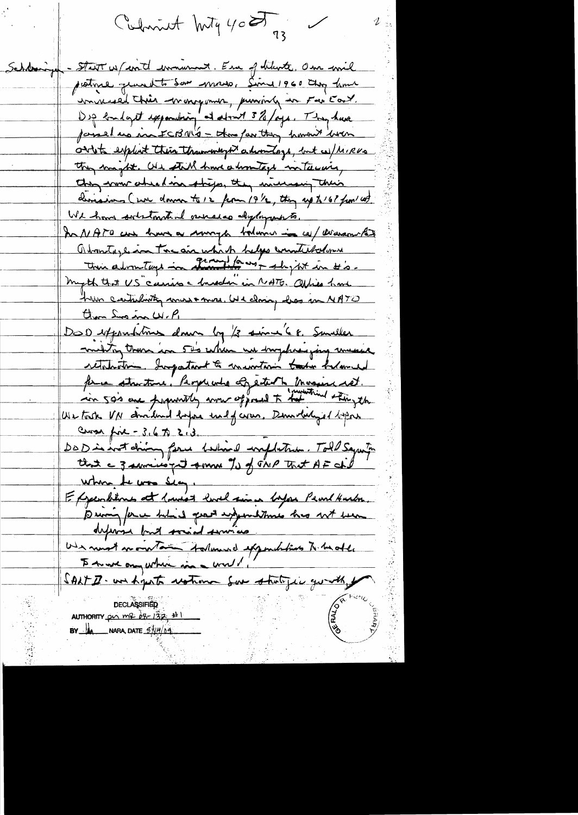Culmint huty 40 g 23

Scholaringen - Start us family immunant. En of dilunte, One wil pestine quant to som moso, Since 1960 they have unnersed this wongomer, puning in Far Eart. Dip londaget expositioning at about 3%/ogs. They have passed up in FCBNG - the partty haven were ordets exploit their thanwomps adventage, but a / MIRUS they maybe. Old still have a homitage instauring they work absolve this they include their deviasions (un down to 12 from 191/2, they up to 16? from 148. We have sortstanted aurera dylaparts. In NATO can know a sommigle bolowin in cel Warram RD Abontage in tre air which helps counterbolome myth that US carries a breadon in NATO. Office have have cartularty mast more. We closing loss in NATO Clara Sus in W.P. DOD expositions dans by /3 since 68. Smaller multing them in 50's when we imphresping mesese retaleation. Important to minutum take halamed forme structure, Perperente of eitenth Massis ret. Use took VN devidend before und of cores. Demoted girl before Cross fire - 3, 6 70 2, 3 Cross port = 5.6 to 6.13.<br>Da D in wat driving face believed implication. Told Sagerty where the was sea, Effenditure at 1 min 2 mil sin 1 Mps Pearl Hurton. defense but social service Une moist mointain stalament appointement to be oble SALT D- un hypota restrance sur statific que als por **GERALD DECLASSIFIED** AUTHORITY  $p_1 \cap R$   $p_2 \cap R$   $p_3 \neq 1$ **BY**  $\frac{1}{4}$  NARA, DATE  $\frac{37}{7}$ /09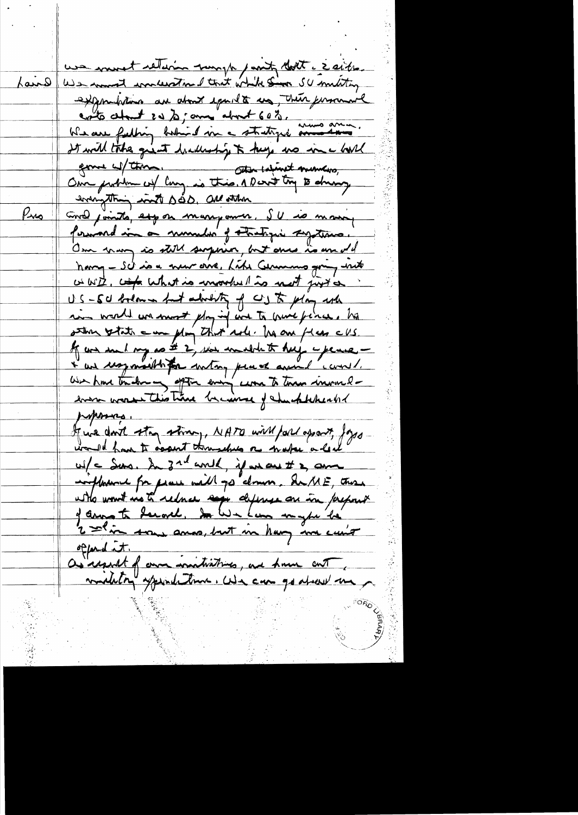use mort return work , and don't ceathe. <u>fairs</u> expositions are about equal to us, there personal coto chant 20 % ; and about 60%. It will take given hadreship to help no in a bord gome container. Attended the service to the service Our problem of large is this. A Derit try to driving everything with soo all stam Pus Grow joints, expose manyon on SU is money forward in a number of thetre zything. One many is still surprise, but once is an old having - Sch is a new oire, Like Cermans going with wwith, comp what is invorted to not just a US-50 bolow in fut about of CS to play when in world we most play inf was to much fince, ho stin state = un plo that arl. In one flan cus. If we see I my so # 2, was in which to help - perse -I are un importable that with placed avoid could. We have touched as aptom every come to them invendern worst this time because of check there and proposing. If we don't stay strong, NATO will fall apport, Joys would from to occurt throughts as make a lead w/c Surs, In 3rd world, if we are It 2, am influence for peace will go down. SuME, those with won't us to reduce says defense on in prepart of annote decade. In We have mythe he 2 shin som amos, but in hang in curio offered at. as regard of own initiatives, are home out military spirituations. We can go about me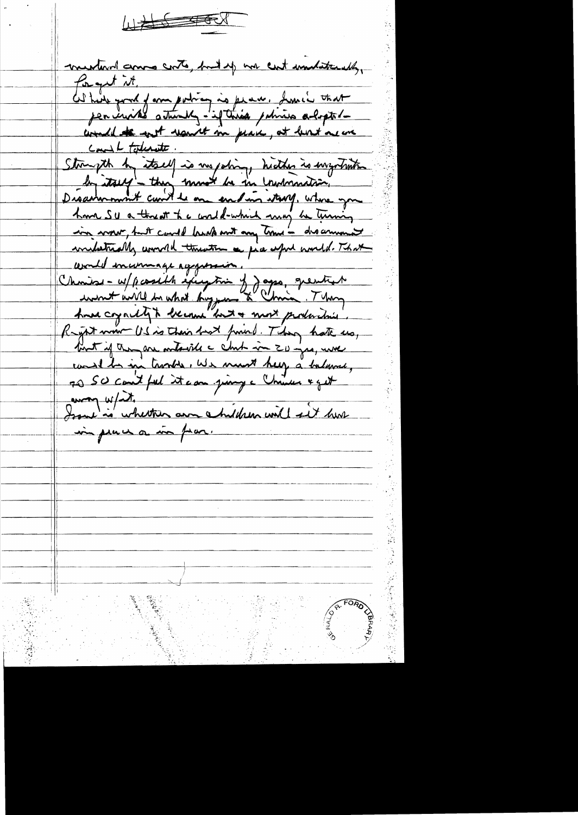$\begin{picture}(20,10) \put(0,0){\vector(1,0){100}} \put(15,0){\vector(1,0){100}} \put(15,0){\vector(1,0){100}} \put(15,0){\vector(1,0){100}} \put(15,0){\vector(1,0){100}} \put(15,0){\vector(1,0){100}} \put(15,0){\vector(1,0){100}} \put(15,0){\vector(1,0){100}} \put(15,0){\vector(1,0){100}} \put(15,0){\vector(1,0){100}} \put(15,0){\vector(1,0){100}} \$ 

mentural comme conto, but up nor cut undatteredly, forget it. de tier pour y ann poting is place. Some trat would to not want in pair, at least near Count toderate. Stormyth by itself is me policy, hickup is ingotation by itself - they must be in contradice, have SU a threat the world-which may be turning in vour, but could broke mot any time - discurrent inclutadly would threaten a five upid world. That cevaled incommage aggression. Choise - w/ pcosible exception of Jaggs, greatist <u>And coyally a became "but a most production</u> Regist win US is their hart from . They hate us, that if they are ontarile a chit in ZU -jes, were could be in townton, we must help a balance, 70 SO cout fel it can juing a Chinese & get in place or in fear.